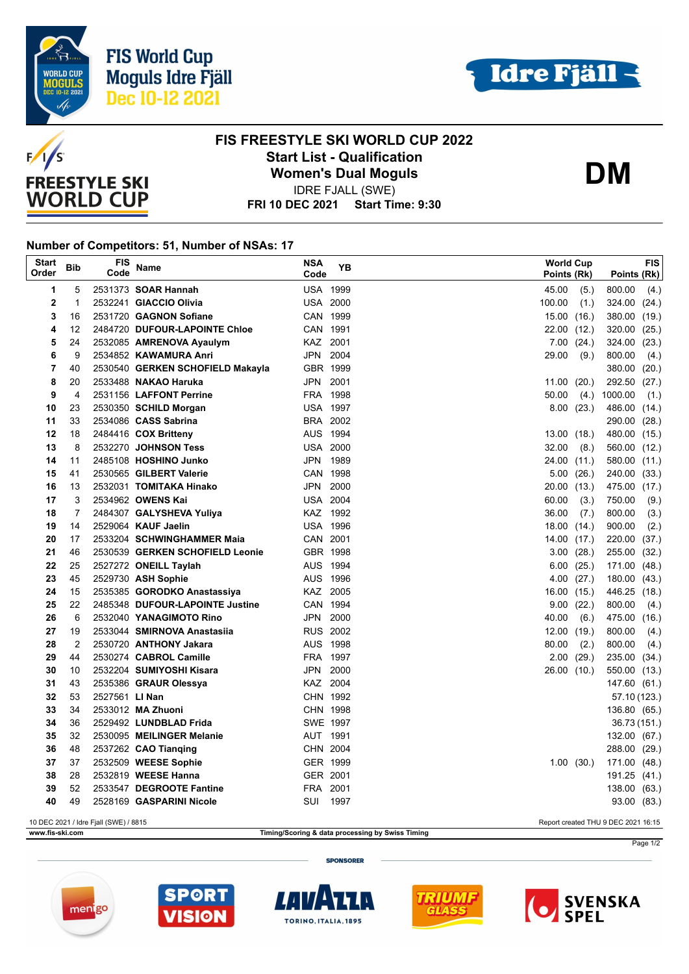





## **FIS FREESTYLE SKI WORLD CUP 2022 Start List - Qualification Women's Dual Moguls**

**DM**

**FRI 10 DEC 2021 Start Time: 9:30** IDRE FJALL (SWE)

## **Number of Competitors: 51, Number of NSAs: 17**

| <b>Start</b><br>Order                                                        | <b>Bib</b>     | <b>FIS</b><br>Code | Name                                                           | <b>NSA</b><br>Code   | YB   | <b>World Cup</b><br>Points (Rk) |                | Points (Rk)      | FIS           |
|------------------------------------------------------------------------------|----------------|--------------------|----------------------------------------------------------------|----------------------|------|---------------------------------|----------------|------------------|---------------|
| 1                                                                            | 5              |                    | 2531373 <b>SOAR Hannah</b>                                     | <b>USA 1999</b>      |      | 45.00                           | (5.)           | 800.00           | (4.)          |
| $\mathbf 2$                                                                  | $\mathbf{1}$   |                    | 2532241 GIACCIO Olivia                                         | <b>USA 2000</b>      |      | 100.00                          | (1.)           | 324.00           | (24.)         |
| 3                                                                            | 16             |                    | 2531720 GAGNON Sofiane                                         | CAN 1999             |      |                                 | 15.00(16.)     | 380.00           | (19.)         |
| 4                                                                            | 12             |                    | 2484720 DUFOUR-LAPOINTE Chloe                                  | CAN 1991             |      |                                 | 22.00 (12.)    | 320.00           | (25.)         |
| 5                                                                            | 24             |                    | 2532085 AMRENOVA Ayaulym                                       | KAZ 2001             |      |                                 | $7.00$ $(24.)$ | 324.00           | (23.)         |
| 6                                                                            | 9              |                    | 2534852 KAWAMURA Anri                                          | JPN 2004             |      | 29.00                           | (9.)           | 800.00           | (4.)          |
| $\overline{7}$                                                               | 40             |                    | 2530540 GERKEN SCHOFIELD Makayla                               | GBR 1999             |      |                                 |                | 380.00           | (20.)         |
| 8                                                                            | 20             |                    | 2533488 NAKAO Haruka                                           | JPN 2001             |      | 11.00(20.)                      |                | 292.50           | (27.)         |
| 9                                                                            | 4              |                    | 2531156 LAFFONT Perrine                                        | FRA 1998             |      | 50.00                           | (4.)           | 1000.00          | (1.)          |
| 10                                                                           | 23             |                    | 2530350 SCHILD Morgan                                          | <b>USA 1997</b>      |      |                                 | 8.00(23.)      | 486.00           | (14.)         |
| 11                                                                           | 33             |                    | 2534086 CASS Sabrina                                           | BRA 2002             |      |                                 |                | 290.00           | (28.)         |
| 12                                                                           | 18             |                    | 2484416 COX Britteny                                           | AUS 1994             |      |                                 | 13.00(18.)     | 480.00 (15.)     |               |
| 13                                                                           | 8              |                    | 2532270 JOHNSON Tess                                           | <b>USA 2000</b>      |      | 32.00                           | (8.)           | 560.00           | (12.)         |
| 14                                                                           | 11             |                    | 2485108 HOSHINO Junko                                          | JPN 1989             |      |                                 | 24.00 (11.)    | 580.00           | (11.)         |
| 15                                                                           | 41             |                    | 2530565 GILBERT Valerie                                        | CAN 1998             |      |                                 | 5.00(26.)      | 240.00           | (33.)         |
| 16                                                                           | 13             |                    | 2532031 TOMITAKA Hinako                                        | JPN 2000             |      |                                 | 20.00 (13.)    | 475.00           | (17.)         |
| 17                                                                           | 3              |                    | 2534962 OWENS Kai                                              | <b>USA 2004</b>      |      | 60.00                           | (3.)           | 750.00           | (9.)          |
| 18                                                                           | $\overline{7}$ |                    | 2484307 GALYSHEVA Yuliya                                       | KAZ 1992             |      | 36.00                           | (7.)           | 800.00           | (3.)          |
| 19                                                                           | 14             |                    | 2529064 KAUF Jaelin                                            | <b>USA 1996</b>      |      |                                 | 18.00(14)      | 900.00           | (2.)          |
| 20                                                                           | 17             |                    | 2533204 SCHWINGHAMMER Maia                                     | CAN 2001             |      |                                 | 14.00 (17.)    | 220.00           | (37.)         |
| 21                                                                           | 46             |                    | 2530539 GERKEN SCHOFIELD Leonie                                | GBR 1998             |      |                                 | 3.00(28.)      | 255.00           | (32.)         |
| 22                                                                           | 25             |                    | 2527272 ONEILL Taylah                                          | AUS 1994             |      |                                 | 6.00(25.)      | 171.00           | (48.)         |
| 23                                                                           | 45<br>15       |                    | 2529730 ASH Sophie                                             | AUS 1996             |      |                                 | 4.00(27)       | 180.00           | (43.)         |
| 24<br>25                                                                     | 22             |                    | 2535385 GORODKO Anastassiya<br>2485348 DUFOUR-LAPOINTE Justine | KAZ 2005<br>CAN 1994 |      |                                 | 16.00(15.)     | 446.25<br>800.00 | (18.)         |
| 26                                                                           | 6              |                    | 2532040 YANAGIMOTO Rino                                        | JPN 2000             |      | 40.00                           | 9.00(22.)      | 475.00           | (4.)          |
| 27                                                                           | 19             |                    | 2533044 SMIRNOVA Anastasiia                                    | <b>RUS 2002</b>      |      | 12.00(19.)                      | (6.)           | 800.00           | (16.)<br>(4.) |
| 28                                                                           | $\overline{2}$ |                    | 2530720 ANTHONY Jakara                                         | AUS 1998             |      | 80.00                           | (2.)           | 800.00           | (4.)          |
| 29                                                                           | 44             |                    | 2530274 CABROL Camille                                         | FRA 1997             |      |                                 | 2.00(29.)      | 235.00           | (34.)         |
| 30                                                                           | 10             |                    | 2532204 SUMIYOSHI Kisara                                       | JPN 2000             |      |                                 | 26.00 (10.)    | 550.00           | (13.)         |
| 31                                                                           | 43             |                    | 2535386 GRAUR Olessya                                          | KAZ 2004             |      |                                 |                | 147.60 (61.)     |               |
| 32                                                                           | 53             | 2527561 LI Nan     |                                                                | CHN 1992             |      |                                 |                |                  | 57.10 (123.)  |
| 33                                                                           | 34             |                    | 2533012 MA Zhuoni                                              | CHN 1998             |      |                                 |                | 136.80 (65.)     |               |
| 34                                                                           | 36             |                    | 2529492 LUNDBLAD Frida                                         | SWE 1997             |      |                                 |                |                  | 36.73 (151.)  |
| 35                                                                           | 32             |                    | 2530095 MEILINGER Melanie                                      | AUT 1991             |      |                                 |                | 132.00 (67.)     |               |
| 36                                                                           | 48             |                    | 2537262 CAO Tianging                                           | CHN 2004             |      |                                 |                | 288.00 (29.)     |               |
| 37                                                                           | 37             |                    | 2532509 WEESE Sophie                                           | GER 1999             |      |                                 | 1.00(30.)      | 171.00 (48.)     |               |
| 38                                                                           | 28             |                    | 2532819 WEESE Hanna                                            | GER 2001             |      |                                 |                | 191.25 (41.)     |               |
| 39                                                                           | 52             |                    | 2533547 DEGROOTE Fantine                                       | FRA 2001             |      |                                 |                | 138.00           | (63.)         |
| 40                                                                           | 49             |                    | 2528169 GASPARINI Nicole                                       | SUI                  | 1997 |                                 |                |                  | 93.00 (83.)   |
| 10 DEC 2021 / Idre Fjall (SWE) / 8815<br>Report created THU 9 DEC 2021 16:15 |                |                    |                                                                |                      |      |                                 |                |                  |               |

**www.fis-ski.com Timing/Scoring & data processing by Swiss Timing**

**SPONSORER** 











Page 1/2